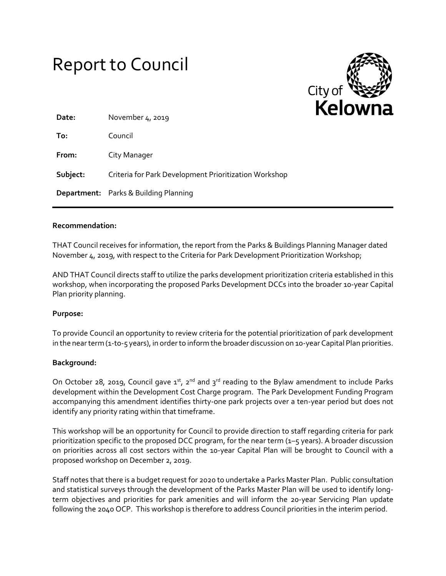| <b>Report to Council</b> |  |
|--------------------------|--|
|--------------------------|--|



| Date:    | November 4, 2019                                      |
|----------|-------------------------------------------------------|
| To:      | Council                                               |
| From:    | City Manager                                          |
| Subject: | Criteria for Park Development Prioritization Workshop |
|          | <b>Department:</b> Parks & Building Planning          |

### **Recommendation:**

THAT Council receives for information, the report from the Parks & Buildings Planning Manager dated November 4, 2019, with respect to the Criteria for Park Development Prioritization Workshop;

AND THAT Council directs staff to utilize the parks development prioritization criteria established in this workshop, when incorporating the proposed Parks Development DCCs into the broader 10-year Capital Plan priority planning.

### **Purpose:**

To provide Council an opportunity to review criteria for the potential prioritization of park development in the near term (1-to-5 years), in order to inform the broader discussion on 10-year Capital Plan priorities.

### **Background:**

On October 28, 2019, Council gave  $1^{st}$ , 2<sup>nd</sup> and  $3^{rd}$  reading to the Bylaw amendment to include Parks development within the Development Cost Charge program. The Park Development Funding Program accompanying this amendment identifies thirty-one park projects over a ten-year period but does not identify any priority rating within that timeframe.

This workshop will be an opportunity for Council to provide direction to staff regarding criteria for park prioritization specific to the proposed DCC program, for the near term (1–5 years). A broader discussion on priorities across all cost sectors within the 10-year Capital Plan will be brought to Council with a proposed workshop on December 2, 2019.

Staff notes that there is a budget request for 2020 to undertake a Parks Master Plan. Public consultation and statistical surveys through the development of the Parks Master Plan will be used to identify longterm objectives and priorities for park amenities and will inform the 20-year Servicing Plan update following the 2040 OCP. This workshop is therefore to address Council priorities in the interim period.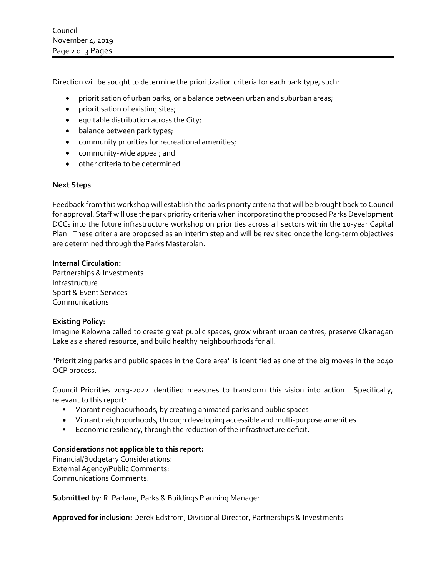Council November 4, 2019 Page 2 of 3 Pages

Direction will be sought to determine the prioritization criteria for each park type, such:

- prioritisation of urban parks, or a balance between urban and suburban areas;
- **•** prioritisation of existing sites;
- $\bullet$  equitable distribution across the City;
- balance between park types;
- community priorities for recreational amenities;
- community-wide appeal; and
- other criteria to be determined.

## **Next Steps**

Feedback from this workshop will establish the parks priority criteria that will be brought back to Council for approval. Staff will use the park priority criteria when incorporating the proposed Parks Development DCCs into the future infrastructure workshop on priorities across all sectors within the 10-year Capital Plan. These criteria are proposed as an interim step and will be revisited once the long-term objectives are determined through the Parks Masterplan.

## **Internal Circulation:**

Partnerships & Investments Infrastructure Sport & Event Services Communications

### **Existing Policy:**

Imagine Kelowna called to create great public spaces, grow vibrant urban centres, preserve Okanagan Lake as a shared resource, and build healthy neighbourhoods for all.

"Prioritizing parks and public spaces in the Core area" is identified as one of the big moves in the 2040 OCP process.

Council Priorities 2019-2022 identified measures to transform this vision into action. Specifically, relevant to this report:

- Vibrant neighbourhoods, by creating animated parks and public spaces
- Vibrant neighbourhoods, through developing accessible and multi-purpose amenities.
- Economic resiliency, through the reduction of the infrastructure deficit.

# **Considerations not applicable to this report:**

Financial/Budgetary Considerations: External Agency/Public Comments: Communications Comments.

**Submitted by**: R. Parlane, Parks & Buildings Planning Manager

**Approved for inclusion:** Derek Edstrom, Divisional Director, Partnerships & Investments